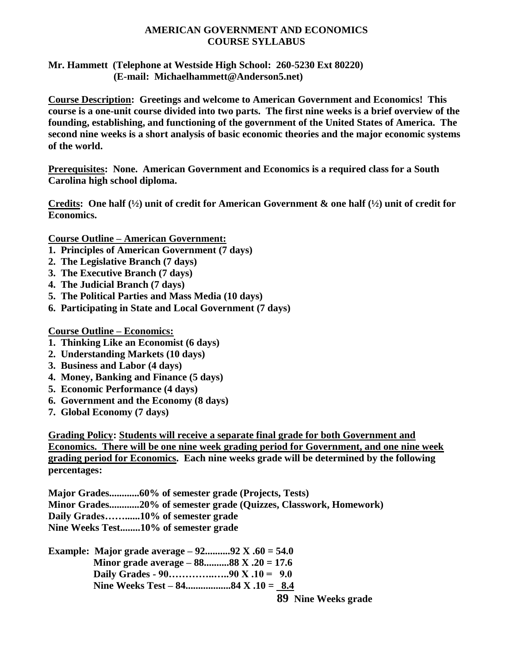### **AMERICAN GOVERNMENT AND ECONOMICS COURSE SYLLABUS**

#### **Mr. Hammett (Telephone at Westside High School: 260-5230 Ext 80220) (E-mail: Michaelhammett@Anderson5.net)**

**Course Description: Greetings and welcome to American Government and Economics! This course is a one-unit course divided into two parts. The first nine weeks is a brief overview of the founding, establishing, and functioning of the government of the United States of America. The second nine weeks is a short analysis of basic economic theories and the major economic systems of the world.**

**Prerequisites: None. American Government and Economics is a required class for a South Carolina high school diploma.** 

**Credits: One half (½) unit of credit for American Government & one half (½) unit of credit for Economics.**

**Course Outline – American Government:**

- **1. Principles of American Government (7 days)**
- **2. The Legislative Branch (7 days)**
- **3. The Executive Branch (7 days)**
- **4. The Judicial Branch (7 days)**
- **5. The Political Parties and Mass Media (10 days)**
- **6. Participating in State and Local Government (7 days)**

**Course Outline – Economics:**

- **1. Thinking Like an Economist (6 days)**
- **2. Understanding Markets (10 days)**
- **3. Business and Labor (4 days)**
- **4. Money, Banking and Finance (5 days)**
- **5. Economic Performance (4 days)**
- **6. Government and the Economy (8 days)**
- **7. Global Economy (7 days)**

**Grading Policy: Students will receive a separate final grade for both Government and Economics. There will be one nine week grading period for Government, and one nine week grading period for Economics. Each nine weeks grade will be determined by the following percentages:** 

**Major Grades............60% of semester grade (Projects, Tests) Minor Grades............20% of semester grade (Quizzes, Classwork, Homework) Daily Grades……......10% of semester grade Nine Weeks Test........10% of semester grade**

**Example: Major grade average – 92..........92 X .60 = 54.0 Minor grade average – 88..........88 X .20 = 17.6 Daily Grades - 90…………..…..90 X .10 = 9.0 Nine Weeks Test – 84..................84 X .10 = 8.4** 

**89 Nine Weeks grade**